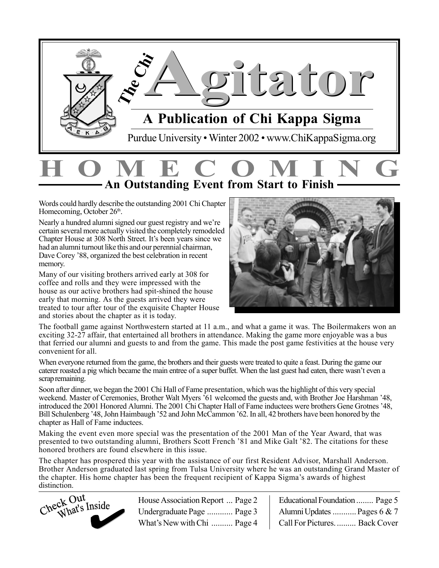

### **HOMECOMING An Outstanding Event from Start to Finish**

Words could hardly describe the outstanding 2001 Chi Chapter Homecoming, October 26<sup>th</sup>.

Nearly a hundred alumni signed our guest registry and we're certain several more actually visited the completely remodeled Chapter House at 308 North Street. It's been years since we had an alumni turnout like this and our perennial chairman, Dave Corey '88, organized the best celebration in recent memory.

Many of our visiting brothers arrived early at 308 for coffee and rolls and they were impressed with the house as our active brothers had spit-shined the house early that morning. As the guests arrived they were treated to tour after tour of the exquisite Chapter House and stories about the chapter as it is today.



The football game against Northwestern started at 11 a.m., and what a game it was. The Boilermakers won an exciting 32-27 affair, that entertained all brothers in attendance. Making the game more enjoyable was a bus that ferried our alumni and guests to and from the game. This made the post game festivities at the house very convenient for all.

When everyone returned from the game, the brothers and their guests were treated to quite a feast. During the game our caterer roasted a pig which became the main entree of a super buffet. When the last guest had eaten, there wasn't even a scrap remaining.

Soon after dinner, we began the 2001 Chi Hall of Fame presentation, which was the highlight of this very special weekend. Master of Ceremonies, Brother Walt Myers '61 welcomed the guests and, with Brother Joe Harshman '48, introduced the 2001 Honored Alumni. The 2001 Chi Chapter Hall of Fame inductees were brothers Gene Grotnes '48, Bill Schulenberg '48, John Haimbaugh '52 and John McCammon '62. In all, 42 brothers have been honored by the chapter as Hall of Fame inductees.

Making the event even more special was the presentation of the 2001 Man of the Year Award, that was presented to two outstanding alumni, Brothers Scott French '81 and Mike Galt '82. The citations for these honored brothers are found elsewhere in this issue.

The chapter has prospered this year with the assistance of our first Resident Advisor, Marshall Anderson. Brother Anderson graduated last spring from Tulsa University where he was an outstanding Grand Master of the chapter. His home chapter has been the frequent recipient of Kappa Sigma's awards of highest



House Association Report ... Page 2 Undergraduate Page ............ Page 3 What's New with Chi .......... Page 4

| Educational Foundation  Page 5 |
|--------------------------------|
| Alumni Updates  Pages 6 & 7    |
| Call For Pictures.  Back Cover |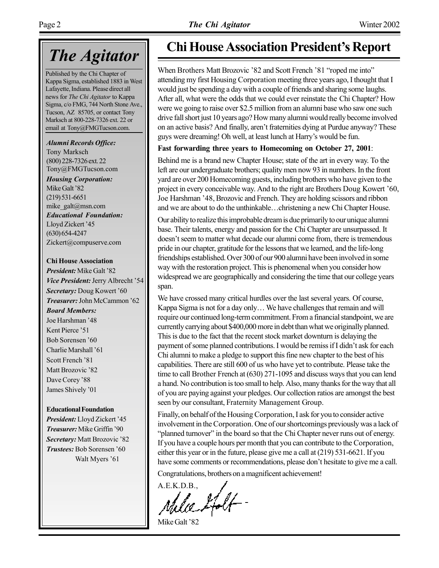### *The Agitator*

Published by the Chi Chapter of Kappa Sigma, established 1883 in West Lafayette, Indiana. Please direct all news for *The Chi Agitator* to Kappa Sigma, c/o FMG, 744 North Stone Ave., Tucson, AZ 85705, or contact Tony Marksch at 800-228-7326 ext. 22 or email at Tony@FMGTucson.com.

*Alumni Records Office:* Tony Marksch (800) 228-7326 ext. 22

Tony@FMGTucson.com *Housing Corporation:* Mike Galt '82 (219) 531-6651 mike\_galt@msn.com *Educational Foundation:* Lloyd Zickert '45 (630) 654-4247 Zickert@compuserve.com

#### **Chi House Association**

*President:* Mike Galt '82 *Vice President: Jerry Albrecht '54* **Secretary:** Doug Kowert '60 **Treasurer:** John McCammon '62 *Board Members:* Joe Harshman '48 Kent Pierce '51 Bob Sorensen '60 Charlie Marshall '61 Scott French '81 Matt Brozovic '82 Dave Corey '88 James Shively '01

#### **Educational Foundation**

**President:** Lloyd Zickert '45 **Treasurer:** Mike Griffin '90 **Secretary:** Matt Brozovic '82 **Trustees:** Bob Sorensen '60 Walt Myers '61

#### **Chi House Association President's Report**

When Brothers Matt Brozovic '82 and Scott French '81 "roped me into" attending my first Housing Corporation meeting three years ago, I thought that I would just be spending a day with a couple of friends and sharing some laughs. After all, what were the odds that we could ever reinstate the Chi Chapter? How were we going to raise over \$2.5 million from an alumni base who saw one such drive fall short just 10 years ago? How many alumni would really become involved on an active basis? And finally, aren't fraternities dying at Purdue anyway? These guys were dreaming! Oh well, at least lunch at Harry's would be fun.

#### **Fast forwarding three years to Homecoming on October 27, 2001**:

Behind me is a brand new Chapter House; state of the art in every way. To the left are our undergraduate brothers; quality men now 93 in numbers. In the front yard are over 200 Homecoming guests, including brothers who have given to the project in every conceivable way. And to the right are Brothers Doug Kowert '60, Joe Harshman '48, Brozovic and French. They are holding scissors and ribbon and we are about to do the unthinkable...christening a new Chi Chapter House.

Our ability to realize this improbable dream is due primarily to our unique alumni base. Their talents, energy and passion for the Chi Chapter are unsurpassed. It doesn't seem to matter what decade our alumni come from, there is tremendous pride in our chapter, gratitude for the lessons that we learned, and the life-long friendships established. Over 300 of our 900 alumni have been involved in some way with the restoration project. This is phenomenal when you consider how widespread we are geographically and considering the time that our college years span.

We have crossed many critical hurdles over the last several years. Of course, Kappa Sigma is not for a day only... We have challenges that remain and will require our continued long-term commitment. From a financial standpoint, we are currently carrying about \$400,000 more in debt than what we originally planned. This is due to the fact that the recent stock market downturn is delaying the payment of some planned contributions. I would be remiss if I didn't ask for each Chi alumni to make a pledge to support this fine new chapter to the best of his capabilities. There are still 600 of us who have yet to contribute. Please take the time to call Brother French at (630) 271-1095 and discuss ways that you can lend a hand. No contribution is too small to help. Also, many thanks for the way that all of you are paying against your pledges. Our collection ratios are amongst the best seen by our consultant, Fraternity Management Group.

Finally, on behalf of the Housing Corporation, I ask for you to consider active involvement in the Corporation. One of our shortcomings previously was a lack of "planned turnover" in the board so that the Chi Chapter never runs out of energy. If you have a couple hours per month that you can contribute to the Corporation, either this year or in the future, please give me a call at (219) 531-6621. If you have some comments or recommendations, please don't hesitate to give me a call.

Congratulations, brothers on a magnificent achievement!

A.E.K.D.B.,<br>Milie 2folf -

Mike Galt '82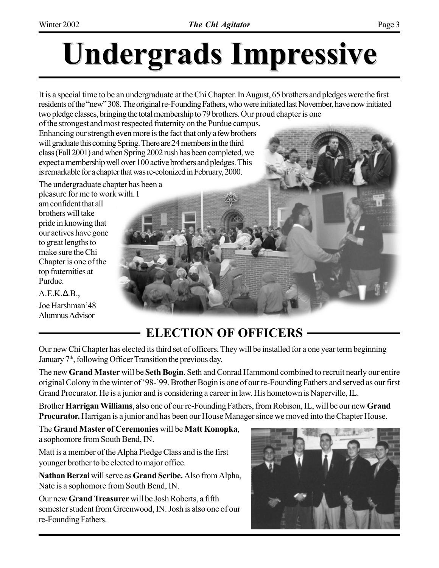# **Undergrads Impressive Undergrads Impressive**

It is a special time to be an undergraduate at the Chi Chapter. In August, 65 brothers and pledges were the first residents of the "new" 308. The original re-Founding Fathers, who were initiated last November, have now initiated two pledge classes, bringing the total membership to 79 brothers. Our proud chapter is one

of the strongest and most respected fraternity on the Purdue campus. Enhancing our strength even more is the fact that only a few brothers will graduate this coming Spring. There are 24 members in the third class (Fall 2001) and when Spring 2002 rush has been completed, we expect a membership well over 100 active brothers and pledges. This is remarkable for a chapter that was re-colonized in February, 2000.

The undergraduate chapter has been a pleasure for me to work with. I

am confident that all brothers will take pride in knowing that our actives have gone to great lengths to make sure the Chi Chapter is one of the top fraternities at Purdue.

 $A.E.K.\Delta.B.,$ Joe Harshman'48 Alumnus Advisor

#### **ELECTION OF OFFICERS**

Our new Chi Chapter has elected its third set of officers. They will be installed for a one year term beginning January 7<sup>th</sup>, following Officer Transition the previous day.

The new **Grand Master** will be **Seth Bogin**. Seth and Conrad Hammond combined to recruit nearly our entire original Colony in the winter of '98-'99. Brother Bogin is one of our re-Founding Fathers and served as our first Grand Procurator. He is a junior and is considering a career in law. His hometown is Naperville, IL.

Brother **Harrigan Williams**, also one of our re-Founding Fathers, from Robison, IL, will be our new **Grand Procurator.** Harrigan is a junior and has been our House Manager since we moved into the Chapter House.

The **Grand Master of Ceremonies** will be **Matt Konopka**, a sophomore from South Bend, IN.

Matt is a member of the Alpha Pledge Class and is the first younger brother to be elected to major office.

**Nathan Berzai** will serve as **Grand Scribe.** Also from Alpha, Nate is a sophomore from South Bend, IN.

Our new **Grand Treasurer** will be Josh Roberts, a fifth semester student from Greenwood, IN. Josh is also one of our re-Founding Fathers.

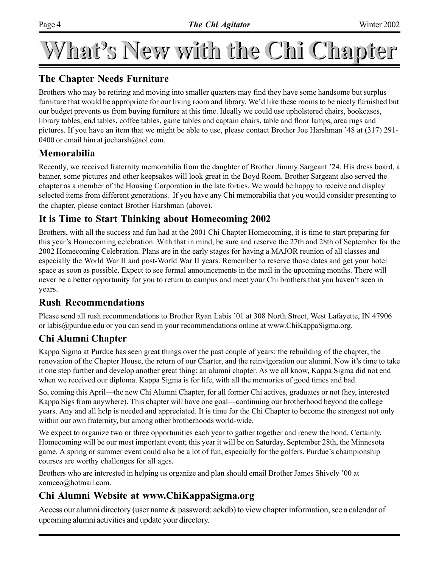# What's New with the Chi Chapter

#### **The Chapter Needs Furniture**

Brothers who may be retiring and moving into smaller quarters may find they have some handsome but surplus furniture that would be appropriate for our living room and library. We'd like these rooms to be nicely furnished but our budget prevents us from buying furniture at this time. Ideally we could use upholstered chairs, bookcases, library tables, end tables, coffee tables, game tables and captain chairs, table and floor lamps, area rugs and pictures. If you have an item that we might be able to use, please contact Brother Joe Harshman '48 at (317) 291-0400 or email him at joeharsh $@$ aol.com.

#### **Memorabilia**

Recently, we received fraternity memorabilia from the daughter of Brother Jimmy Sargeant '24. His dress board, a banner, some pictures and other keepsakes will look great in the Boyd Room. Brother Sargeant also served the chapter as a member of the Housing Corporation in the late forties. We would be happy to receive and display selected items from different generations. If you have any Chi memorabilia that you would consider presenting to the chapter, please contact Brother Harshman (above).

#### **It is Time to Start Thinking about Homecoming 2002**

Brothers, with all the success and fun had at the 2001 Chi Chapter Homecoming, it is time to start preparing for this year's Homecoming celebration. With that in mind, be sure and reserve the 27th and 28th of September for the 2002 Homecoming Celebration. Plans are in the early stages for having a MAJOR reunion of all classes and especially the World War II and post-World War II years. Remember to reserve those dates and get your hotel space as soon as possible. Expect to see formal announcements in the mail in the upcoming months. There will never be a better opportunity for you to return to campus and meet your Chi brothers that you haven't seen in years.

#### **Rush Recommendations**

Please send all rush recommendations to Brother Ryan Labis '01 at 308 North Street, West Lafayette, IN 47906 or labis@purdue.edu or you can send in your recommendations online at www.ChiKappaSigma.org.

#### **Chi Alumni Chapter**

Kappa Sigma at Purdue has seen great things over the past couple of years: the rebuilding of the chapter, the renovation of the Chapter House, the return of our Charter, and the reinvigoration our alumni. Now it's time to take it one step further and develop another great thing: an alumni chapter. As we all know, Kappa Sigma did not end when we received our diploma. Kappa Sigma is for life, with all the memories of good times and bad.

So, coming this April—the new Chi Alumni Chapter, for all former Chi actives, graduates or not (hey, interested Kappa Sigs from anywhere). This chapter will have one goal—continuing our brotherhood beyond the college years. Any and all help is needed and appreciated. It is time for the Chi Chapter to become the strongest not only within our own fraternity, but among other brotherhoods world-wide.

We expect to organize two or three opportunities each year to gather together and renew the bond. Certainly, Homecoming will be our most important event; this year it will be on Saturday, September 28th, the Minnesota game. A spring or summer event could also be a lot of fun, especially for the golfers. Purdue's championship courses are worthy challenges for all ages.

Brothers who are interested in helping us organize and plan should email Brother James Shively '00 at xomceo@hotmail.com.

#### **Chi Alumni Website at www.ChiKappaSigma.org**

Access our alumni directory (user name & password: aekdb) to view chapter information, see a calendar of upcoming alumni activities and update your directory.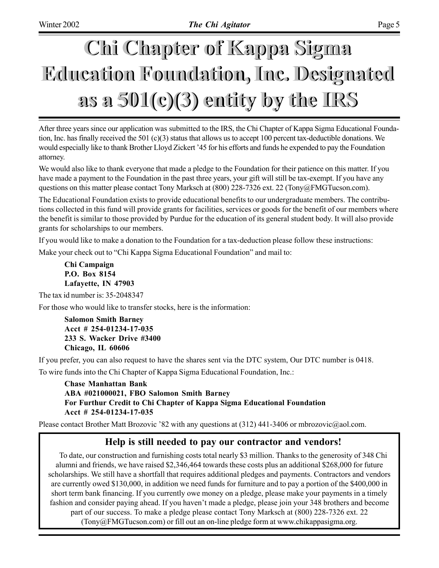# **Chi Chapter of Kappa Sigma Chi Chapter of Kappa Sigma Education Foundation, Inc. Designated Education Foundation, Inc. Designated as a 501(c)(3) entity by the IRS as a 501(c)(3) entity by the IRS**

After three years since our application was submitted to the IRS, the Chi Chapter of Kappa Sigma Educational Foundation, Inc. has finally received the 501 (c)(3) status that allows us to accept 100 percent tax-deductible donations. We would especially like to thank Brother Lloyd Zickert '45 for his efforts and funds he expended to pay the Foundation attorney.

We would also like to thank everyone that made a pledge to the Foundation for their patience on this matter. If you have made a payment to the Foundation in the past three years, your gift will still be tax-exempt. If you have any questions on this matter please contact Tony Marksch at (800) 228-7326 ext. 22 (Tony@FMGTucson.com).

The Educational Foundation exists to provide educational benefits to our undergraduate members. The contributions collected in this fund will provide grants for facilities, services or goods for the benefit of our members where the benefit is similar to those provided by Purdue for the education of its general student body. It will also provide grants for scholarships to our members.

If you would like to make a donation to the Foundation for a tax-deduction please follow these instructions:

Make your check out to "Chi Kappa Sigma Educational Foundation" and mail to:

**Chi Campaign P.O. Box 8154 Lafayette, IN 47903**

The tax id number is: 35-2048347

For those who would like to transfer stocks, here is the information:

**Salomon Smith Barney Acct # 254-01234-17-035 233 S. Wacker Drive #3400 Chicago, IL 60606**

If you prefer, you can also request to have the shares sent via the DTC system, Our DTC number is 0418.

To wire funds into the Chi Chapter of Kappa Sigma Educational Foundation, Inc.:

**Chase Manhattan Bank ABA #021000021, FBO Salomon Smith Barney For Furthur Credit to Chi Chapter of Kappa Sigma Educational Foundation Acct # 254-01234-17-035**

Please contact Brother Matt Brozovic '82 with any questions at (312) 441-3406 or mbrozovic@aol.com.

#### **Help is still needed to pay our contractor and vendors!**

To date, our construction and furnishing costs total nearly \$3 million. Thanks to the generosity of 348 Chi alumni and friends, we have raised \$2,346,464 towards these costs plus an additional \$268,000 for future scholarships. We still have a shortfall that requires additional pledges and payments. Contractors and vendors are currently owed \$130,000, in addition we need funds for furniture and to pay a portion of the \$400,000 in short term bank financing. If you currently owe money on a pledge, please make your payments in a timely fashion and consider paying ahead. If you haven't made a pledge, please join your 348 brothers and become part of our success. To make a pledge please contact Tony Marksch at (800) 228-7326 ext. 22 (Tony@FMGTucson.com) or fill out an on-line pledge form at www.chikappasigma.org.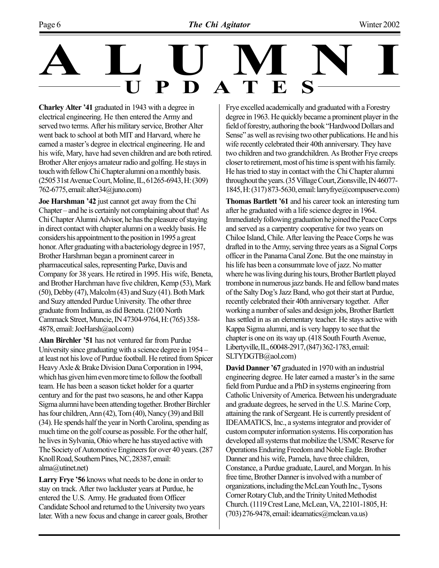# **ALUMNI** PDATE

**Charley Alter '41** graduated in 1943 with a degree in electrical engineering. He then entered the Army and served two terms. After his military service, Brother Alter went back to school at both MIT and Harvard, where he earned a master's degree in electrical engineering. He and his wife, Mary, have had seven children and are both retired. Brother Alter enjoys amateur radio and golfing. He stays in touch with fellow Chi Chapter alumni on a monthly basis. (2505 31st Avenue Court, Moline, IL, 61265-6943, H: (309) 762-6775, email: alter34@juno.com)

**Joe Harshman '42** just cannot get away from the Chi  $Chapter -$  and he is certainly not complaining about that! As Chi Chapter Alumni Advisor, he has the pleasure of staying in direct contact with chapter alumni on a weekly basis. He considers his appointment to the position in 1995 a great honor. After graduating with a bacteriology degree in 1957, Brother Harshman began a prominent career in pharmaceutical sales, representing Parke, Davis and Company for 38 years. He retired in 1995. His wife, Beneta, and Brother Harchman have five children, Kemp (53), Mark (50), Debby (47), Malcolm (43) and Suzy (41). Both Mark and Suzy attended Purdue University. The other three graduate from Indiana, as did Beneta. (2100 North Cammack Street, Muncie, IN 47304-9764, H: (765) 358- 4878, email: JoeHarsh@aol.com)

**Alan Birchler '51** has not ventured far from Purdue University since graduating with a science degree in  $1954$ at least not his love of Purdue football. He retired from Spicer Heavy Axle & Brake Division Dana Corporation in 1994, which has given him even more time to follow the football team. He has been a season ticket holder for a quarter century and for the past two seasons, he and other Kappa Sigma alumni have been attending together. Brother Birchler has four children, Ann (42), Tom (40), Nancy (39) and Bill (34). He spends half the year in North Carolina, spending as much time on the golf course as possible. For the other half, he lives in Sylvania, Ohio where he has stayed active with The Society of Automotive Engineers for over 40 years. (287 Knoll Road, Southern Pines, NC, 28387, email: alma@utinet.net)

**Larry Frye '56** knows what needs to be done in order to stay on track. After two lackluster years at Purdue, he entered the U.S. Army. He graduated from Officer Candidate School and returned to the University two years later. With a new focus and change in career goals, Brother

Frye excelled academically and graduated with a Forestry degree in 1963. He quickly became a prominent player in the field of forestry, authoring the book "Hardwood Dollars and Sense" as well as revising two other publications. He and his wife recently celebrated their 40th anniversary. They have two children and two grandchildren. As Brother Frye creeps closer to retirement, most of his time is spent with his family. He has tried to stay in contact with the Chi Chapter alumni throughout the years. (35 Village Court, Zionsville, IN 46077- 1845, H: (317) 873-5630, email: larryfrye@compuserve.com)

**Thomas Bartlett '61** and his career took an interesting turn after he graduated with a life science degree in 1964. Immediately following graduation he joined the Peace Corps and served as a carpentry cooperative for two years on Chiloe Island, Chile. After leaving the Peace Corps he was drafted in to the Army, serving three years as a Signal Corps officer in the Panama Canal Zone. But the one mainstay in his life has been a consummate love of jazz. No matter where he was living during his tours, Brother Bartlett played trombone in numerous jazz bands. He and fellow band mates of the Salty Dogís Jazz Band, who got their start at Purdue, recently celebrated their 40th anniversary together. After working a number of sales and design jobs, Brother Bartlett has settled in as an elementary teacher. He stays active with Kappa Sigma alumni, and is very happy to see that the chapter is one on its way up. (418 South Fourth Avenue, Libertyville, IL, 60048-2917, (847) 362-1783, email: SLTYDGTB@aol.com)

**David Danner '67** graduated in 1970 with an industrial engineering degree. He later earned a master's in the same field from Purdue and a PhD in systems engineering from Catholic University of America. Between his undergraduate and graduate degrees, he served in the U.S. Marine Corp, attaining the rank of Sergeant. He is currently president of IDEAMATICS, Inc., a systems integrator and provider of custom computer information systems. His corporation has developed all systems that mobilize the USMC Reserve for Operations Enduring Freedom and Noble Eagle. Brother Danner and his wife, Pamela, have three children, Constance, a Purdue graduate, Laurel, and Morgan. In his free time, Brother Danner is involved with a number of organizations, including the McLean Youth Inc., Tysons Corner Rotary Club, and the Trinity United Methodist Church. (1119 Crest Lane, McLean, VA, 22101-1805, H:  $(703)$  276-9478, email: ideamatics $@$ mclean.va.us)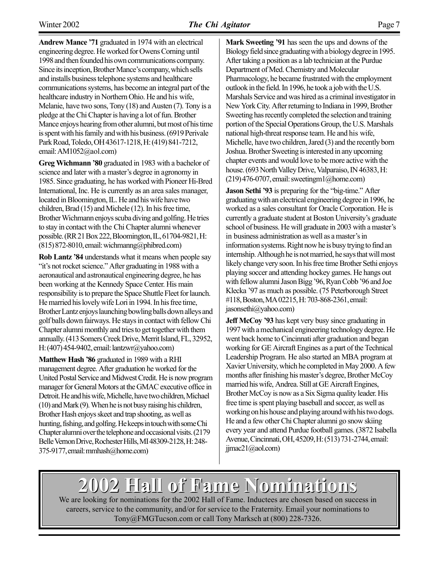**Andrew Mance '71** graduated in 1974 with an electrical engineering degree. He worked for Owens Corning until 1998 and then founded his own communications company. Since its inception, Brother Mance's company, which sells and installs business telephone systems and healthcare communications systems, has become an integral part of the healthcare industry in Northern Ohio. He and his wife, Melanie, have two sons, Tony (18) and Austen (7). Tony is a pledge at the Chi Chapter is having a lot of fun. Brother Mance enjoys hearing from other alumni, but most of his time is spent with his family and with his business. (6919 Perivale Park Road, Toledo, OH 43617-1218, H: (419) 841-7212, email: AM1052@aol.com)

Greg Wichmann '80 graduated in 1983 with a bachelor of science and later with a master's degree in agronomy in 1985. Since graduating, he has worked with Pioneer Hi-Bred International, Inc. He is currently as an area sales manager, located in Bloomington, IL. He and his wife have two children, Brad (15) and Michele (12). In his free time, Brother Wichmann enjoys scuba diving and golfing. He tries to stay in contact with the Chi Chapter alumni whenever possible. (RR 21 Box 222, Bloomington, IL, 61704-9821, H:  $(815)$  872-8010, email: wichmanng@phibred.com)

**Rob Lantz '84** understands what it means when people say "it's not rocket science." After graduating in 1988 with a aeronautical and astronautical engineering degree, he has been working at the Kennedy Space Center. His main responsibility is to prepare the Space Shuttle Fleet for launch. He married his lovely wife Lori in 1994. In his free time, Brother Lantz enjoys launching bowling balls down alleys and golf balls down fairways. He stays in contact with fellow Chi Chapter alumni monthly and tries to get together with them annually. (413 Somers Creek Drive, Merrit Island, FL, 32952, H: (407) 454-9402, email: lantzwr@yahoo.com)

**Matthew Hash '86** graduated in 1989 with a RHI management degree. After graduation he worked for the United Postal Service and Midwest Credit. He is now program manager for General Motors at the GMAC executive office in Detroit. He and his wife, Michelle, have two children, Michael (10) and Mark (9). When he is not busy raising his children, Brother Hash enjoys skeet and trap shooting, as well as hunting, fishing, and golfing. He keeps in touch with some Chi Chapter alumni over the telephone and occasional visits. (2179 Belle Vernon Drive, Rochester Hills, MI 48309-2128, H: 248- 375-9177, email: mmhash@home.com)

**Mark Sweeting '91** has seen the ups and downs of the Biology field since graduating with a biology degree in 1995. After taking a position as a lab technician at the Purdue Department of Med. Chemistry and Molecular Pharmacology, he became frustrated with the employment outlook in the field. In 1996, he took a job with the U.S. Marshals Service and was hired as a criminal investigator in New York City. After returning to Indiana in 1999, Brother Sweeting has recently completed the selection and training portion of the Special Operations Group, the U.S. Marshals national high-threat response team. He and his wife, Michelle, have two children, Jared (3) and the recently born Joshua. Brother Sweeting is interested in any upcoming chapter events and would love to be more active with the house. (693 North Valley Drive, Valparaiso, IN 46383, H:  $(219)$  476-0707, email: sweetingm1@home.com)

**Jason Sethi '93** is preparing for the "big-time." After graduating with an electrical engineering degree in 1996, he worked as a sales consultant for Oracle Corporation. He is currently a graduate student at Boston University's graduate school of business. He will graduate in 2003 with a master's in business administration as well as a master's in information systems. Right now he is busy trying to find an internship. Although he is not married, he says that will most likely change very soon. In his free time Brother Sethi enjoys playing soccer and attending hockey games. He hangs out with fellow alumni Jason Bigg '96, Ryan Cobb '96 and Joe Klecka '97 as much as possible. (75 Peterborough Street) #118, Boston, MA 02215, H: 703-868-2361, email: jasonsethi@yahoo.com)

**Jeff McCoy '93** has kept very busy since graduating in 1997 with a mechanical engineering technology degree. He went back home to Cincinnati after graduation and began working for GE Aircraft Engines as a part of the Technical Leadership Program. He also started an MBA program at Xavier University, which he completed in May 2000. A few months after finishing his master's degree, Brother McCoy married his wife, Andrea. Still at GE Aircraft Engines, Brother McCoy is now as a Six Sigma quality leader. His free time is spent playing baseball and soccer, as well as working on his house and playing around with his two dogs. He and a few other Chi Chapter alumni go snow skiing every year and attend Purdue football games. (3872 Isabella Avenue, Cincinnati, OH, 45209, H: (513) 731-2744, email:  $jimac21$  (a) ao l.com)

## **2002 Hall of Fame Nominations 2002 Hall of Fame Nominations**

We are looking for nominations for the 2002 Hall of Fame. Inductees are chosen based on success in careers, service to the community, and/or for service to the Fraternity. Email your nominations to Tony@FMGTucson.com or call Tony Marksch at (800) 228-7326.